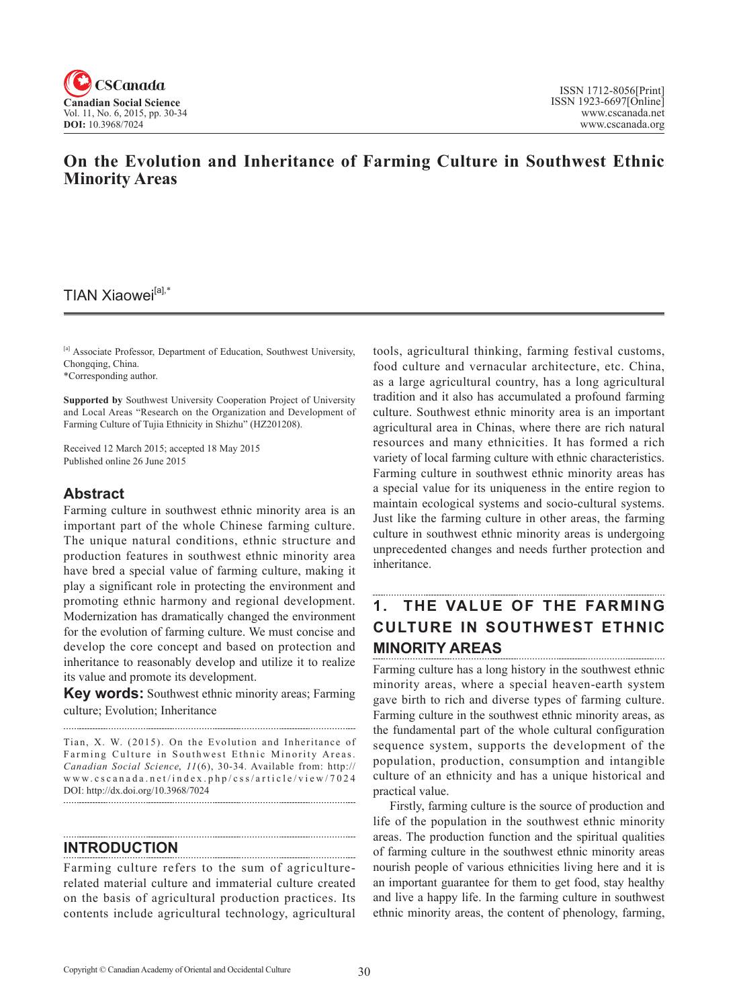

### **On the Evolution and Inheritance of Farming Culture in Southwest Ethnic Minority Areas**

### TIAN Xiaowei<sup>[a],\*</sup>

[a] Associate Professor, Department of Education, Southwest University, Chongqing, China.

\*Corresponding author.

**Supported by** Southwest University Cooperation Project of University and Local Areas "Research on the Organization and Development of Farming Culture of Tujia Ethnicity in Shizhu" (HZ201208).

Received 12 March 2015; accepted 18 May 2015 Published online 26 June 2015

#### **Abstract**

Farming culture in southwest ethnic minority area is an important part of the whole Chinese farming culture. The unique natural conditions, ethnic structure and production features in southwest ethnic minority area have bred a special value of farming culture, making it play a significant role in protecting the environment and promoting ethnic harmony and regional development. Modernization has dramatically changed the environment for the evolution of farming culture. We must concise and develop the core concept and based on protection and inheritance to reasonably develop and utilize it to realize its value and promote its development.

**Key words:** Southwest ethnic minority areas; Farming culture; Evolution; Inheritance

Tian, X. W. (2015). On the Evolution and Inheritance of Farming Culture in Southwest Ethnic Minority Areas. *Canadian Social Science*, <sup>11</sup> (6), 30-34. Available from: http:// www.cscanada.net/index.php/css/article/view/7024 DOI: http://dx.doi.org/10.3968/7024

### **INTRODUCTION**

Farming culture refers to the sum of agriculturerelated material culture and immaterial culture created on the basis of agricultural production practices. Its contents include agricultural technology, agricultural tools, agricultural thinking, farming festival customs, food culture and vernacular architecture, etc. China, as a large agricultural country, has a long agricultural tradition and it also has accumulated a profound farming culture. Southwest ethnic minority area is an important agricultural area in Chinas, where there are rich natural resources and many ethnicities. It has formed a rich variety of local farming culture with ethnic characteristics. Farming culture in southwest ethnic minority areas has a special value for its uniqueness in the entire region to maintain ecological systems and socio-cultural systems. Just like the farming culture in other areas, the farming culture in southwest ethnic minority areas is undergoing unprecedented changes and needs further protection and inheritance.

## **1. THE VALUE OF THE FARMING CULTURE IN SOUTHWEST ETHNIC MINORITY AREAS**

Farming culture has a long history in the southwest ethnic minority areas, where a special heaven-earth system gave birth to rich and diverse types of farming culture. Farming culture in the southwest ethnic minority areas, as the fundamental part of the whole cultural configuration sequence system, supports the development of the population, production, consumption and intangible culture of an ethnicity and has a unique historical and practical value.

Firstly, farming culture is the source of production and life of the population in the southwest ethnic minority areas. The production function and the spiritual qualities of farming culture in the southwest ethnic minority areas nourish people of various ethnicities living here and it is an important guarantee for them to get food, stay healthy and live a happy life. In the farming culture in southwest ethnic minority areas, the content of phenology, farming,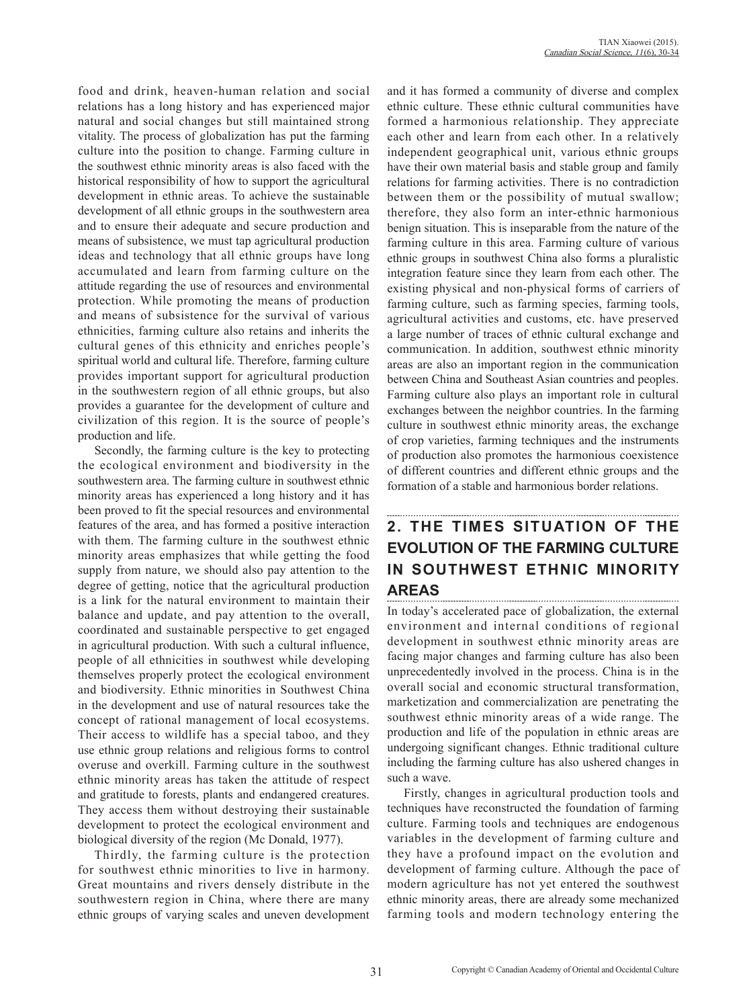food and drink, heaven-human relation and social relations has a long history and has experienced major natural and social changes but still maintained strong vitality. The process of globalization has put the farming culture into the position to change. Farming culture in the southwest ethnic minority areas is also faced with the historical responsibility of how to support the agricultural development in ethnic areas. To achieve the sustainable development of all ethnic groups in the southwestern area and to ensure their adequate and secure production and means of subsistence, we must tap agricultural production ideas and technology that all ethnic groups have long accumulated and learn from farming culture on the attitude regarding the use of resources and environmental protection. While promoting the means of production and means of subsistence for the survival of various ethnicities, farming culture also retains and inherits the cultural genes of this ethnicity and enriches people's spiritual world and cultural life. Therefore, farming culture provides important support for agricultural production in the southwestern region of all ethnic groups, but also provides a guarantee for the development of culture and civilization of this region. It is the source of people's production and life.

Secondly, the farming culture is the key to protecting the ecological environment and biodiversity in the southwestern area. The farming culture in southwest ethnic minority areas has experienced a long history and it has been proved to fit the special resources and environmental features of the area, and has formed a positive interaction with them. The farming culture in the southwest ethnic minority areas emphasizes that while getting the food supply from nature, we should also pay attention to the degree of getting, notice that the agricultural production is a link for the natural environment to maintain their balance and update, and pay attention to the overall, coordinated and sustainable perspective to get engaged in agricultural production. With such a cultural influence, people of all ethnicities in southwest while developing themselves properly protect the ecological environment and biodiversity. Ethnic minorities in Southwest China in the development and use of natural resources take the concept of rational management of local ecosystems. Their access to wildlife has a special taboo, and they use ethnic group relations and religious forms to control overuse and overkill. Farming culture in the southwest ethnic minority areas has taken the attitude of respect and gratitude to forests, plants and endangered creatures. They access them without destroying their sustainable development to protect the ecological environment and biological diversity of the region (Mc Donald, 1977).

Thirdly, the farming culture is the protection for southwest ethnic minorities to live in harmony. Great mountains and rivers densely distribute in the southwestern region in China, where there are many ethnic groups of varying scales and uneven development

and it has formed a community of diverse and complex ethnic culture. These ethnic cultural communities have formed a harmonious relationship. They appreciate each other and learn from each other. In a relatively independent geographical unit, various ethnic groups have their own material basis and stable group and family relations for farming activities. There is no contradiction between them or the possibility of mutual swallow; therefore, they also form an inter-ethnic harmonious benign situation. This is inseparable from the nature of the farming culture in this area. Farming culture of various ethnic groups in southwest China also forms a pluralistic integration feature since they learn from each other. The existing physical and non-physical forms of carriers of farming culture, such as farming species, farming tools, agricultural activities and customs, etc. have preserved a large number of traces of ethnic cultural exchange and communication. In addition, southwest ethnic minority areas are also an important region in the communication between China and Southeast Asian countries and peoples. Farming culture also plays an important role in cultural exchanges between the neighbor countries. In the farming culture in southwest ethnic minority areas, the exchange of crop varieties, farming techniques and the instruments of production also promotes the harmonious coexistence of different countries and different ethnic groups and the formation of a stable and harmonious border relations.

### **2. THE TIMES SITUATION OF THE EVOLUTION OF THE FARMING CULTURE IN SOUTHWEST ETHNIC MINORITY AREAS**

In today's accelerated pace of globalization, the external environment and internal conditions of regional development in southwest ethnic minority areas are facing major changes and farming culture has also been unprecedentedly involved in the process. China is in the overall social and economic structural transformation, marketization and commercialization are penetrating the southwest ethnic minority areas of a wide range. The production and life of the population in ethnic areas are undergoing significant changes. Ethnic traditional culture including the farming culture has also ushered changes in such a wave.

Firstly, changes in agricultural production tools and techniques have reconstructed the foundation of farming culture. Farming tools and techniques are endogenous variables in the development of farming culture and they have a profound impact on the evolution and development of farming culture. Although the pace of modern agriculture has not yet entered the southwest ethnic minority areas, there are already some mechanized farming tools and modern technology entering the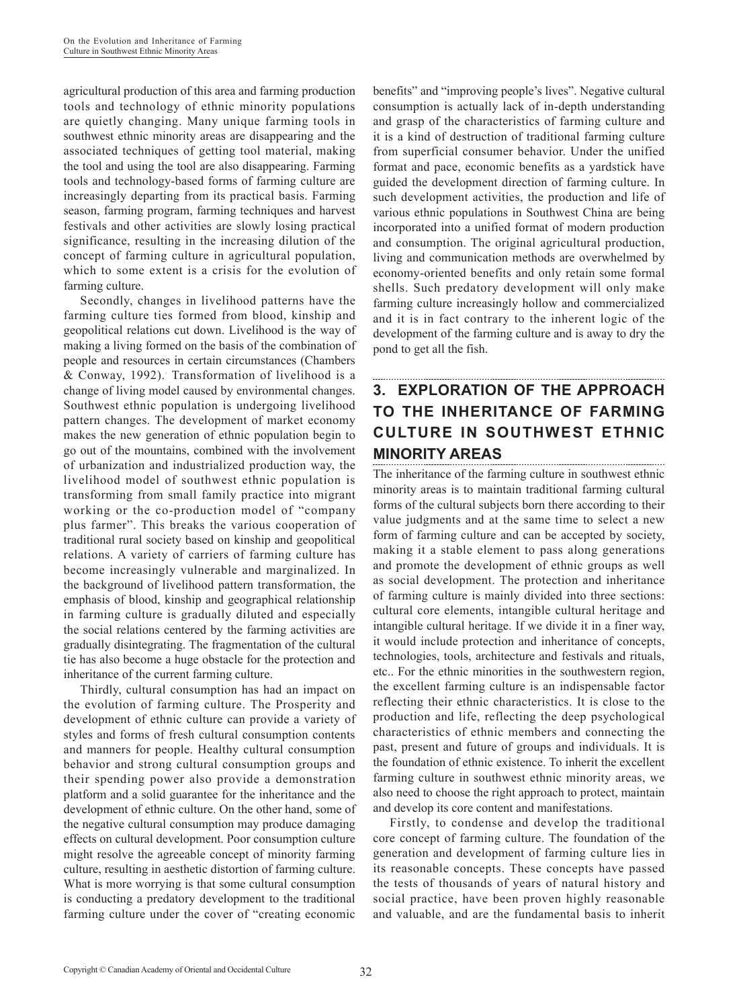agricultural production of this area and farming production tools and technology of ethnic minority populations are quietly changing. Many unique farming tools in southwest ethnic minority areas are disappearing and the associated techniques of getting tool material, making the tool and using the tool are also disappearing. Farming tools and technology-based forms of farming culture are increasingly departing from its practical basis. Farming season, farming program, farming techniques and harvest festivals and other activities are slowly losing practical significance, resulting in the increasing dilution of the concept of farming culture in agricultural population, which to some extent is a crisis for the evolution of farming culture.

Secondly, changes in livelihood patterns have the farming culture ties formed from blood, kinship and geopolitical relations cut down. Livelihood is the way of making a living formed on the basis of the combination of people and resources in certain circumstances (Chambers & Conway, 1992). Transformation of livelihood is a change of living model caused by environmental changes. Southwest ethnic population is undergoing livelihood pattern changes. The development of market economy makes the new generation of ethnic population begin to go out of the mountains, combined with the involvement of urbanization and industrialized production way, the livelihood model of southwest ethnic population is transforming from small family practice into migrant working or the co-production model of "company plus farmer". This breaks the various cooperation of traditional rural society based on kinship and geopolitical relations. A variety of carriers of farming culture has become increasingly vulnerable and marginalized. In the background of livelihood pattern transformation, the emphasis of blood, kinship and geographical relationship in farming culture is gradually diluted and especially the social relations centered by the farming activities are gradually disintegrating. The fragmentation of the cultural tie has also become a huge obstacle for the protection and inheritance of the current farming culture.

Thirdly, cultural consumption has had an impact on the evolution of farming culture. The Prosperity and development of ethnic culture can provide a variety of styles and forms of fresh cultural consumption contents and manners for people. Healthy cultural consumption behavior and strong cultural consumption groups and their spending power also provide a demonstration platform and a solid guarantee for the inheritance and the development of ethnic culture. On the other hand, some of the negative cultural consumption may produce damaging effects on cultural development. Poor consumption culture might resolve the agreeable concept of minority farming culture, resulting in aesthetic distortion of farming culture. What is more worrying is that some cultural consumption is conducting a predatory development to the traditional farming culture under the cover of "creating economic benefits" and "improving people's lives". Negative cultural consumption is actually lack of in-depth understanding and grasp of the characteristics of farming culture and it is a kind of destruction of traditional farming culture from superficial consumer behavior. Under the unified format and pace, economic benefits as a yardstick have guided the development direction of farming culture. In such development activities, the production and life of various ethnic populations in Southwest China are being incorporated into a unified format of modern production and consumption. The original agricultural production, living and communication methods are overwhelmed by economy-oriented benefits and only retain some formal shells. Such predatory development will only make farming culture increasingly hollow and commercialized and it is in fact contrary to the inherent logic of the development of the farming culture and is away to dry the pond to get all the fish.

# **3. EXPLORATION OF THE APPROACH TO THE INHERITANCE OF FARMING CULTURE IN SOUTHWEST ETHNIC MINORITY AREAS**

The inheritance of the farming culture in southwest ethnic minority areas is to maintain traditional farming cultural forms of the cultural subjects born there according to their value judgments and at the same time to select a new form of farming culture and can be accepted by society, making it a stable element to pass along generations and promote the development of ethnic groups as well as social development. The protection and inheritance of farming culture is mainly divided into three sections: cultural core elements, intangible cultural heritage and intangible cultural heritage. If we divide it in a finer way, it would include protection and inheritance of concepts, technologies, tools, architecture and festivals and rituals, etc.. For the ethnic minorities in the southwestern region, the excellent farming culture is an indispensable factor reflecting their ethnic characteristics. It is close to the production and life, reflecting the deep psychological characteristics of ethnic members and connecting the past, present and future of groups and individuals. It is the foundation of ethnic existence. To inherit the excellent farming culture in southwest ethnic minority areas, we also need to choose the right approach to protect, maintain and develop its core content and manifestations.

Firstly, to condense and develop the traditional core concept of farming culture. The foundation of the generation and development of farming culture lies in its reasonable concepts. These concepts have passed the tests of thousands of years of natural history and social practice, have been proven highly reasonable and valuable, and are the fundamental basis to inherit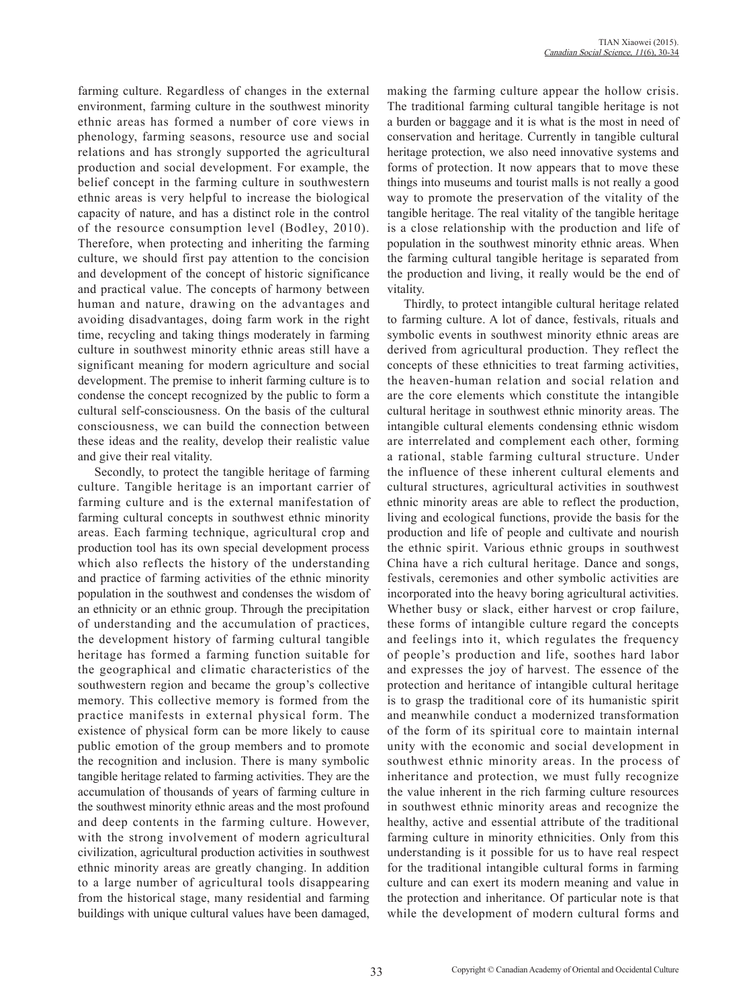farming culture. Regardless of changes in the external environment, farming culture in the southwest minority ethnic areas has formed a number of core views in phenology, farming seasons, resource use and social relations and has strongly supported the agricultural production and social development. For example, the belief concept in the farming culture in southwestern ethnic areas is very helpful to increase the biological capacity of nature, and has a distinct role in the control of the resource consumption level (Bodley, 2010). Therefore, when protecting and inheriting the farming culture, we should first pay attention to the concision and development of the concept of historic significance and practical value. The concepts of harmony between human and nature, drawing on the advantages and avoiding disadvantages, doing farm work in the right time, recycling and taking things moderately in farming culture in southwest minority ethnic areas still have a significant meaning for modern agriculture and social development. The premise to inherit farming culture is to condense the concept recognized by the public to form a cultural self-consciousness. On the basis of the cultural consciousness, we can build the connection between these ideas and the reality, develop their realistic value and give their real vitality.

Secondly, to protect the tangible heritage of farming culture. Tangible heritage is an important carrier of farming culture and is the external manifestation of farming cultural concepts in southwest ethnic minority areas. Each farming technique, agricultural crop and production tool has its own special development process which also reflects the history of the understanding and practice of farming activities of the ethnic minority population in the southwest and condenses the wisdom of an ethnicity or an ethnic group. Through the precipitation of understanding and the accumulation of practices, the development history of farming cultural tangible heritage has formed a farming function suitable for the geographical and climatic characteristics of the southwestern region and became the group's collective memory. This collective memory is formed from the practice manifests in external physical form. The existence of physical form can be more likely to cause public emotion of the group members and to promote the recognition and inclusion. There is many symbolic tangible heritage related to farming activities. They are the accumulation of thousands of years of farming culture in the southwest minority ethnic areas and the most profound and deep contents in the farming culture. However, with the strong involvement of modern agricultural civilization, agricultural production activities in southwest ethnic minority areas are greatly changing. In addition to a large number of agricultural tools disappearing from the historical stage, many residential and farming buildings with unique cultural values have been damaged, making the farming culture appear the hollow crisis. The traditional farming cultural tangible heritage is not a burden or baggage and it is what is the most in need of conservation and heritage. Currently in tangible cultural heritage protection, we also need innovative systems and forms of protection. It now appears that to move these things into museums and tourist malls is not really a good way to promote the preservation of the vitality of the tangible heritage. The real vitality of the tangible heritage is a close relationship with the production and life of population in the southwest minority ethnic areas. When the farming cultural tangible heritage is separated from the production and living, it really would be the end of vitality.

Thirdly, to protect intangible cultural heritage related to farming culture. A lot of dance, festivals, rituals and symbolic events in southwest minority ethnic areas are derived from agricultural production. They reflect the concepts of these ethnicities to treat farming activities, the heaven-human relation and social relation and are the core elements which constitute the intangible cultural heritage in southwest ethnic minority areas. The intangible cultural elements condensing ethnic wisdom are interrelated and complement each other, forming a rational, stable farming cultural structure. Under the influence of these inherent cultural elements and cultural structures, agricultural activities in southwest ethnic minority areas are able to reflect the production, living and ecological functions, provide the basis for the production and life of people and cultivate and nourish the ethnic spirit. Various ethnic groups in southwest China have a rich cultural heritage. Dance and songs, festivals, ceremonies and other symbolic activities are incorporated into the heavy boring agricultural activities. Whether busy or slack, either harvest or crop failure, these forms of intangible culture regard the concepts and feelings into it, which regulates the frequency of people's production and life, soothes hard labor and expresses the joy of harvest. The essence of the protection and heritance of intangible cultural heritage is to grasp the traditional core of its humanistic spirit and meanwhile conduct a modernized transformation of the form of its spiritual core to maintain internal unity with the economic and social development in southwest ethnic minority areas. In the process of inheritance and protection, we must fully recognize the value inherent in the rich farming culture resources in southwest ethnic minority areas and recognize the healthy, active and essential attribute of the traditional farming culture in minority ethnicities. Only from this understanding is it possible for us to have real respect for the traditional intangible cultural forms in farming culture and can exert its modern meaning and value in the protection and inheritance. Of particular note is that while the development of modern cultural forms and